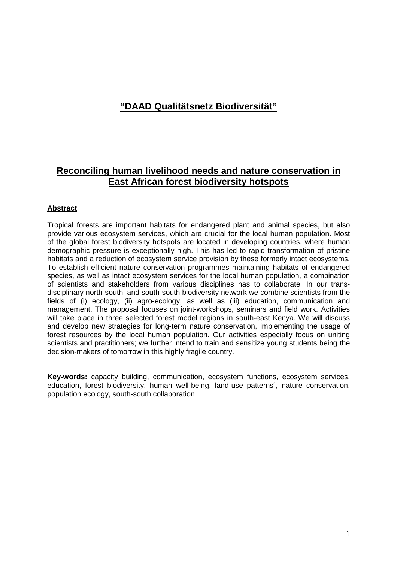# **"DAAD Qualitätsnetz Biodiversität"**

## **Reconciling human livelihood needs and nature conservation in East African forest biodiversity hotspots**

## **Abstract**

Tropical forests are important habitats for endangered plant and animal species, but also provide various ecosystem services, which are crucial for the local human population. Most of the global forest biodiversity hotspots are located in developing countries, where human demographic pressure is exceptionally high. This has led to rapid transformation of pristine habitats and a reduction of ecosystem service provision by these formerly intact ecosystems. To establish efficient nature conservation programmes maintaining habitats of endangered species, as well as intact ecosystem services for the local human population, a combination of scientists and stakeholders from various disciplines has to collaborate. In our transdisciplinary north-south, and south-south biodiversity network we combine scientists from the fields of (i) ecology, (ii) agro-ecology, as well as (iii) education, communication and management. The proposal focuses on joint-workshops, seminars and field work. Activities will take place in three selected forest model regions in south-east Kenya. We will discuss and develop new strategies for long-term nature conservation, implementing the usage of forest resources by the local human population. Our activities especially focus on uniting scientists and practitioners; we further intend to train and sensitize young students being the decision-makers of tomorrow in this highly fragile country.

**Key-words:** capacity building, communication, ecosystem functions, ecosystem services, education, forest biodiversity, human well-being, land-use patterns´, nature conservation, population ecology, south-south collaboration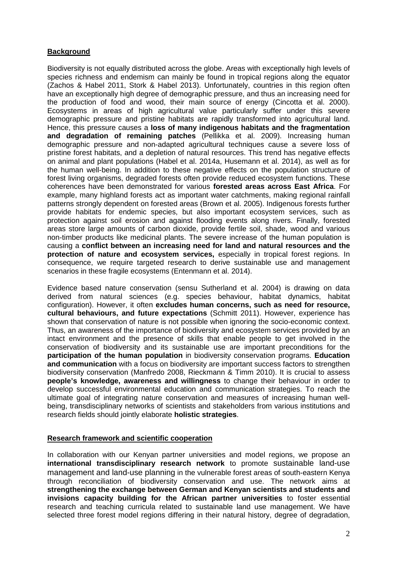## **Background**

Biodiversity is not equally distributed across the globe. Areas with exceptionally high levels of species richness and endemism can mainly be found in tropical regions along the equator (Zachos & Habel 2011, Stork & Habel 2013). Unfortunately, countries in this region often have an exceptionally high degree of demographic pressure, and thus an increasing need for the production of food and wood, their main source of energy (Cincotta et al. 2000). Ecosystems in areas of high agricultural value particularly suffer under this severe demographic pressure and pristine habitats are rapidly transformed into agricultural land. Hence, this pressure causes a **loss of many indigenous habitats and the fragmentation and degradation of remaining patches** (Pellikka et al. 2009). Increasing human demographic pressure and non-adapted agricultural techniques cause a severe loss of pristine forest habitats, and a depletion of natural resources. This trend has negative effects on animal and plant populations (Habel et al. 2014a, Husemann et al. 2014), as well as for the human well-being. In addition to these negative effects on the population structure of forest living organisms, degraded forests often provide reduced ecosystem functions. These coherences have been demonstrated for various **forested areas across East Africa**. For example, many highland forests act as important water catchments, making regional rainfall patterns strongly dependent on forested areas (Brown et al. 2005). Indigenous forests further provide habitats for endemic species, but also important ecosystem services, such as protection against soil erosion and against flooding events along rivers. Finally, forested areas store large amounts of carbon dioxide, provide fertile soil, shade, wood and various non-timber products like medicinal plants. The severe increase of the human population is causing a **conflict between an increasing need for land and natural resources and the protection of nature and ecosystem services,** especially in tropical forest regions. In consequence, we require targeted research to derive sustainable use and management scenarios in these fragile ecosystems (Entenmann et al. 2014).

Evidence based nature conservation (sensu Sutherland et al. 2004) is drawing on data derived from natural sciences (e.g. species behaviour, habitat dynamics, habitat configuration). However, it often **excludes human concerns, such as need for resource, cultural behaviours, and future expectations** (Schmitt 2011). However, experience has shown that conservation of nature is not possible when ignoring the socio-economic context. Thus, an awareness of the importance of biodiversity and ecosystem services provided by an intact environment and the presence of skills that enable people to get involved in the conservation of biodiversity and its sustainable use are important preconditions for the **participation of the human population** in biodiversity conservation programs. **Education and communication** with a focus on biodiversity are important success factors to strengthen biodiversity conservation (Manfredo 2008, Rieckmann & Timm 2010). It is crucial to assess **people's knowledge, awareness and willingness** to change their behaviour in order to develop successful environmental education and communication strategies. To reach the ultimate goal of integrating nature conservation and measures of increasing human wellbeing, transdisciplinary networks of scientists and stakeholders from various institutions and research fields should jointly elaborate **holistic strategies**.

#### **Research framework and scientific cooperation**

In collaboration with our Kenyan partner universities and model regions, we propose an **international transdisciplinary research network** to promote sustainable land-use management and land-use planning in the vulnerable forest areas of south-eastern Kenya through reconciliation of biodiversity conservation and use. The network aims at **strengthening the exchange between German and Kenyan scientists and students and invisions capacity building for the African partner universities** to foster essential research and teaching curricula related to sustainable land use management. We have selected three forest model regions differing in their natural history, degree of degradation,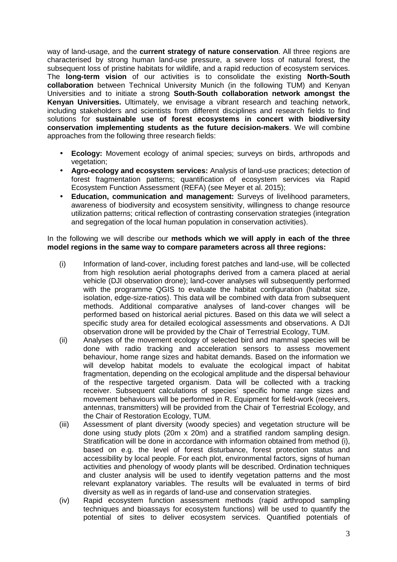way of land-usage, and the **current strategy of nature conservation**. All three regions are characterised by strong human land-use pressure, a severe loss of natural forest, the subsequent loss of pristine habitats for wildlife, and a rapid reduction of ecosystem services. The **long-term vision** of our activities is to consolidate the existing **North-South collaboration** between Technical University Munich (in the following TUM) and Kenyan Universities and to initiate a strong **South-South collaboration network amongst the Kenyan Universities.** Ultimately, we envisage a vibrant research and teaching network, including stakeholders and scientists from different disciplines and research fields to find solutions for **sustainable use of forest ecosystems in concert with biodiversity conservation implementing students as the future decision-makers**. We will combine approaches from the following three research fields:

- **Ecology:** Movement ecology of animal species; surveys on birds, arthropods and vegetation:
- **Agro-ecology and ecosystem services:** Analysis of land-use practices; detection of forest fragmentation patterns; quantification of ecosystem services via Rapid Ecosystem Function Assessment (REFA) (see Meyer et al. 2015);
- **Education, communication and management:** Surveys of livelihood parameters, awareness of biodiversity and ecosystem sensitivity, willingness to change resource utilization patterns; critical reflection of contrasting conservation strategies (integration and segregation of the local human population in conservation activities).

In the following we will describe our **methods which we will apply in each of the three model regions in the same way to compare parameters across all three regions:**

- (i) Information of land-cover, including forest patches and land-use, will be collected from high resolution aerial photographs derived from a camera placed at aerial vehicle (DJI observation drone); land-cover analyses will subsequently performed with the programme QGIS to evaluate the habitat configuration (habitat size, isolation, edge-size-ratios). This data will be combined with data from subsequent methods. Additional comparative analyses of land-cover changes will be performed based on historical aerial pictures. Based on this data we will select a specific study area for detailed ecological assessments and observations. A DJI observation drone will be provided by the Chair of Terrestrial Ecology, TUM.
- (ii) Analyses of the movement ecology of selected bird and mammal species will be done with radio tracking and acceleration sensors to assess movement behaviour, home range sizes and habitat demands. Based on the information we will develop habitat models to evaluate the ecological impact of habitat fragmentation, depending on the ecological amplitude and the dispersal behaviour of the respective targeted organism. Data will be collected with a tracking receiver. Subsequent calculations of species´ specific home range sizes and movement behaviours will be performed in R. Equipment for field-work (receivers, antennas, transmitters) will be provided from the Chair of Terrestrial Ecology, and the Chair of Restoration Ecology, TUM.
- (iii) Assessment of plant diversity (woody species) and vegetation structure will be done using study plots (20m x 20m) and a stratified random sampling design. Stratification will be done in accordance with information obtained from method (i), based on e.g. the level of forest disturbance, forest protection status and accessibility by local people. For each plot, environmental factors, signs of human activities and phenology of woody plants will be described. Ordination techniques and cluster analysis will be used to identify vegetation patterns and the most relevant explanatory variables. The results will be evaluated in terms of bird diversity as well as in regards of land-use and conservation strategies.
- (iv) Rapid ecosystem function assessment methods (rapid arthropod sampling techniques and bioassays for ecosystem functions) will be used to quantify the potential of sites to deliver ecosystem services. Quantified potentials of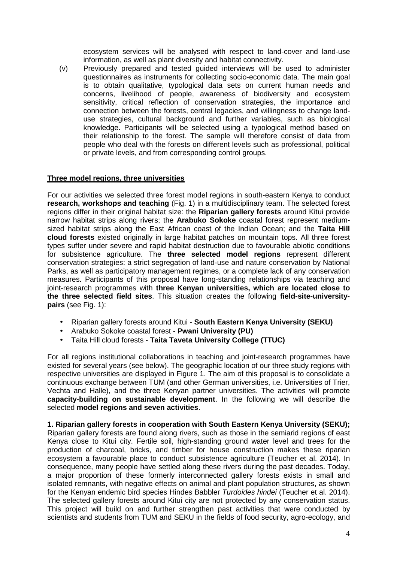ecosystem services will be analysed with respect to land-cover and land-use information, as well as plant diversity and habitat connectivity.

(v) Previously prepared and tested guided interviews will be used to administer questionnaires as instruments for collecting socio-economic data. The main goal is to obtain qualitative, typological data sets on current human needs and concerns, livelihood of people, awareness of biodiversity and ecosystem sensitivity, critical reflection of conservation strategies, the importance and connection between the forests, central legacies, and willingness to change landuse strategies, cultural background and further variables, such as biological knowledge. Participants will be selected using a typological method based on their relationship to the forest. The sample will therefore consist of data from people who deal with the forests on different levels such as professional, political or private levels, and from corresponding control groups.

#### **Three model regions, three universities**

For our activities we selected three forest model regions in south-eastern Kenya to conduct **research, workshops and teaching** (Fig. 1) in a multidisciplinary team. The selected forest regions differ in their original habitat size: the **Riparian gallery forests** around Kitui provide narrow habitat strips along rivers; the **Arabuko Sokoke** coastal forest represent mediumsized habitat strips along the East African coast of the Indian Ocean; and the **Taita Hill cloud forests** existed originally in large habitat patches on mountain tops. All three forest types suffer under severe and rapid habitat destruction due to favourable abiotic conditions for subsistence agriculture. The **three selected model regions** represent different conservation strategies: a strict segregation of land-use and nature conservation by National Parks, as well as participatory management regimes, or a complete lack of any conservation measures. Participants of this proposal have long-standing relationships via teaching and joint-research programmes with **three Kenyan universities, which are located close to the three selected field sites**. This situation creates the following **field-site-universitypairs** (see Fig. 1):

- Riparian gallery forests around Kitui **South Eastern Kenya University (SEKU)**
- Arabuko Sokoke coastal forest **Pwani University (PU)**
- Taita Hill cloud forests **Taita Taveta University College (TTUC)**

For all regions institutional collaborations in teaching and joint-research programmes have existed for several years (see below). The geographic location of our three study regions with respective universities are displayed in Figure 1. The aim of this proposal is to consolidate a continuous exchange between TUM (and other German universities, i.e. Universities of Trier, Vechta and Halle), and the three Kenyan partner universities. The activities will promote **capacity-building on sustainable development**. In the following we will describe the selected **model regions and seven activities**.

**1. Riparian gallery forests in cooperation with South Eastern Kenya University (SEKU);**  Riparian gallery forests are found along rivers, such as those in the semiarid regions of east Kenya close to Kitui city. Fertile soil, high-standing ground water level and trees for the production of charcoal, bricks, and timber for house construction makes these riparian ecosystem a favourable place to conduct subsistence agriculture (Teucher et al. 2014). In consequence, many people have settled along these rivers during the past decades. Today, a major proportion of these formerly interconnected gallery forests exists in small and isolated remnants, with negative effects on animal and plant population structures, as shown for the Kenyan endemic bird species Hindes Babbler Turdoides hindei (Teucher et al. 2014). The selected gallery forests around Kitui city are not protected by any conservation status. This project will build on and further strengthen past activities that were conducted by scientists and students from TUM and SEKU in the fields of food security, agro-ecology, and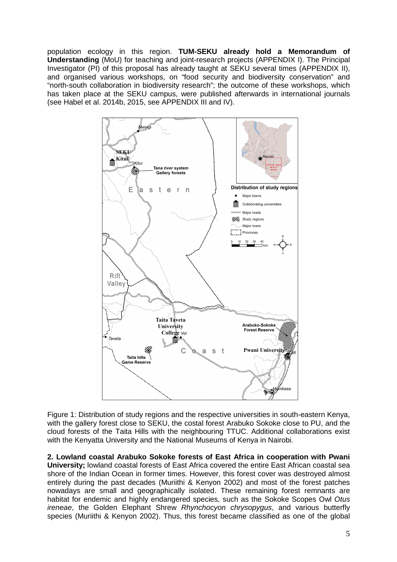population ecology in this region. **TUM-SEKU already hold a Memorandum of Understanding** (MoU) for teaching and joint-research projects (APPENDIX I). The Principal Investigator (PI) of this proposal has already taught at SEKU several times (APPENDIX II), and organised various workshops, on "food security and biodiversity conservation" and "north-south collaboration in biodiversity research"; the outcome of these workshops, which has taken place at the SEKU campus, were published afterwards in international journals (see Habel et al. 2014b, 2015, see APPENDIX III and IV).



Figure 1: Distribution of study regions and the respective universities in south-eastern Kenya, with the gallery forest close to SEKU, the costal forest Arabuko Sokoke close to PU, and the cloud forests of the Taita Hills with the neighbouring TTUC. Additional collaborations exist with the Kenyatta University and the National Museums of Kenya in Nairobi.

**2. Lowland coastal Arabuko Sokoke forests of East Africa in cooperation with Pwani University;** lowland coastal forests of East Africa covered the entire East African coastal sea shore of the Indian Ocean in former times. However, this forest cover was destroyed almost entirely during the past decades (Muriithi & Kenyon 2002) and most of the forest patches nowadays are small and geographically isolated. These remaining forest remnants are habitat for endemic and highly endangered species, such as the Sokoke Scopes Owl Otus ireneae, the Golden Elephant Shrew Rhynchocyon chrysopygus, and various butterfly species (Muriithi & Kenyon 2002). Thus, this forest became classified as one of the global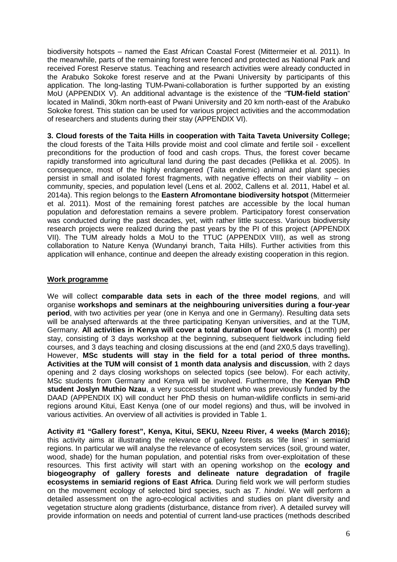biodiversity hotspots – named the East African Coastal Forest (Mittermeier et al. 2011). In the meanwhile, parts of the remaining forest were fenced and protected as National Park and received Forest Reserve status. Teaching and research activities were already conducted in the Arabuko Sokoke forest reserve and at the Pwani University by participants of this application. The long-lasting TUM-Pwani-collaboration is further supported by an existing MoU (APPENDIX V). An additional advantage is the existence of the "**TUM-field station**" located in Malindi, 30km north-east of Pwani University and 20 km north-east of the Arabuko Sokoke forest. This station can be used for various project activities and the accommodation of researchers and students during their stay (APPENDIX VI).

**3. Cloud forests of the Taita Hills in cooperation with Taita Taveta University College;**  the cloud forests of the Taita Hills provide moist and cool climate and fertile soil - excellent preconditions for the production of food and cash crops. Thus, the forest cover became rapidly transformed into agricultural land during the past decades (Pellikka et al. 2005). In consequence, most of the highly endangered (Taita endemic) animal and plant species persist in small and isolated forest fragments, with negative effects on their viability – on community, species, and population level (Lens et al. 2002, Callens et al. 2011, Habel et al. 2014a). This region belongs to the **Eastern Afromontane biodiversity hotspot** (Mittermeier et al. 2011). Most of the remaining forest patches are accessible by the local human population and deforestation remains a severe problem. Participatory forest conservation was conducted during the past decades, yet, with rather little success. Various biodiversity research projects were realized during the past years by the PI of this project (APPENDIX VII). The TUM already holds a MoU to the TTUC (APPENDIX VIII), as well as strong collaboration to Nature Kenya (Wundanyi branch, Taita Hills). Further activities from this application will enhance, continue and deepen the already existing cooperation in this region.

#### **Work programme**

We will collect **comparable data sets in each of the three model regions**, and will organise **workshops and seminars at the neighbouring universities during a four-year period**, with two activities per year (one in Kenya and one in Germany). Resulting data sets will be analysed afterwards at the three participating Kenyan universities, and at the TUM, Germany. **All activities in Kenya will cover a total duration of four weeks** (1 month) per stay, consisting of 3 days workshop at the beginning, subsequent fieldwork including field courses, and 3 days teaching and closing discussions at the end (and 2X0,5 days travelling). However, **MSc students will stay in the field for a total period of three months. Activities at the TUM will consist of 1 month data analysis and discussion**, with 2 days opening and 2 days closing workshops on selected topics (see below). For each activity, MSc students from Germany and Kenya will be involved. Furthermore, the **Kenyan PhD student Joslyn Muthio Nzau**, a very successful student who was previously funded by the DAAD (APPENDIX IX) will conduct her PhD thesis on human-wildlife conflicts in semi-arid regions around Kitui, East Kenya (one of our model regions) and thus, will be involved in various activities. An overview of all activities is provided in Table 1.

**Activity #1 "Gallery forest", Kenya, Kitui, SEKU, Nzeeu River, 4 weeks (March 2016);**  this activity aims at illustrating the relevance of gallery forests as 'life lines' in semiarid regions. In particular we will analyse the relevance of ecosystem services (soil, ground water, wood, shade) for the human population, and potential risks from over-exploitation of these resources. This first activity will start with an opening workshop on the **ecology and biogeography of gallery forests and delineate nature degradation of fragile ecosystems in semiarid regions of East Africa**. During field work we will perform studies on the movement ecology of selected bird species, such as  $T$ , hindei. We will perform a detailed assessment on the agro-ecological activities and studies on plant diversity and vegetation structure along gradients (disturbance, distance from river). A detailed survey will provide information on needs and potential of current land-use practices (methods described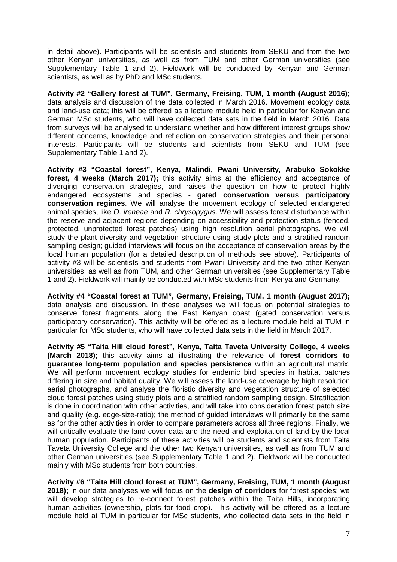in detail above). Participants will be scientists and students from SEKU and from the two other Kenyan universities, as well as from TUM and other German universities (see Supplementary Table 1 and 2). Fieldwork will be conducted by Kenyan and German scientists, as well as by PhD and MSc students.

**Activity #2 "Gallery forest at TUM", Germany, Freising, TUM, 1 month (August 2016);**  data analysis and discussion of the data collected in March 2016. Movement ecology data and land-use data; this will be offered as a lecture module held in particular for Kenyan and German MSc students, who will have collected data sets in the field in March 2016. Data from surveys will be analysed to understand whether and how different interest groups show different concerns, knowledge and reflection on conservation strategies and their personal interests. Participants will be students and scientists from SEKU and TUM (see Supplementary Table 1 and 2).

**Activity #3 "Coastal forest", Kenya, Malindi, Pwani University, Arabuko Sokokke forest, 4 weeks (March 2017);** this activity aims at the efficiency and acceptance of diverging conservation strategies, and raises the question on how to protect highly endangered ecosystems and species - **gated conservation versus participatory conservation regimes**. We will analyse the movement ecology of selected endangered animal species, like O. ireneae and R. chrysopygus. We will assess forest disturbance within the reserve and adjacent regions depending on accessibility and protection status (fenced, protected, unprotected forest patches) using high resolution aerial photographs. We will study the plant diversity and vegetation structure using study plots and a stratified random sampling design; guided interviews will focus on the acceptance of conservation areas by the local human population (for a detailed description of methods see above). Participants of activity #3 will be scientists and students from Pwani University and the two other Kenyan universities, as well as from TUM, and other German universities (see Supplementary Table 1 and 2). Fieldwork will mainly be conducted with MSc students from Kenya and Germany.

**Activity #4 "Coastal forest at TUM", Germany, Freising, TUM, 1 month (August 2017);**  data analysis and discussion. In these analyses we will focus on potential strategies to conserve forest fragments along the East Kenyan coast (gated conservation versus participatory conservation). This activity will be offered as a lecture module held at TUM in particular for MSc students, who will have collected data sets in the field in March 2017.

**Activity #5 "Taita Hill cloud forest", Kenya, Taita Taveta University College, 4 weeks (March 2018);** this activity aims at illustrating the relevance of **forest corridors to guarantee long-term population and species persistence** within an agricultural matrix. We will perform movement ecology studies for endemic bird species in habitat patches differing in size and habitat quality. We will assess the land-use coverage by high resolution aerial photographs, and analyse the floristic diversity and vegetation structure of selected cloud forest patches using study plots and a stratified random sampling design. Stratification is done in coordination with other activities, and will take into consideration forest patch size and quality (e.g. edge-size-ratio); the method of guided interviews will primarily be the same as for the other activities in order to compare parameters across all three regions. Finally, we will critically evaluate the land-cover data and the need and exploitation of land by the local human population. Participants of these activities will be students and scientists from Taita Taveta University College and the other two Kenyan universities, as well as from TUM and other German universities (see Supplementary Table 1 and 2). Fieldwork will be conducted mainly with MSc students from both countries.

**Activity #6 "Taita Hill cloud forest at TUM", Germany, Freising, TUM, 1 month (August 2018);** in our data analyses we will focus on the **design of corridors** for forest species; we will develop strategies to re-connect forest patches within the Taita Hills, incorporating human activities (ownership, plots for food crop). This activity will be offered as a lecture module held at TUM in particular for MSc students, who collected data sets in the field in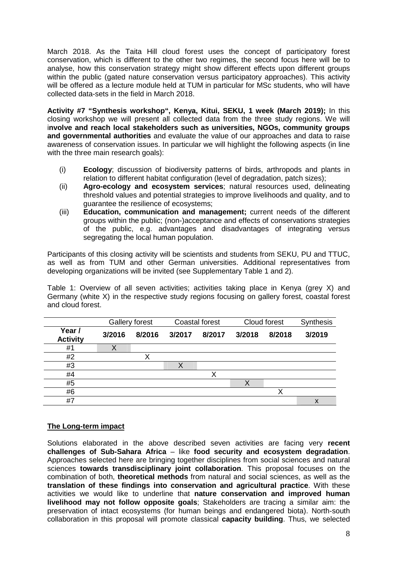March 2018. As the Taita Hill cloud forest uses the concept of participatory forest conservation, which is different to the other two regimes, the second focus here will be to analyse, how this conservation strategy might show different effects upon different groups within the public (gated nature conservation versus participatory approaches). This activity will be offered as a lecture module held at TUM in particular for MSc students, who will have collected data-sets in the field in March 2018.

**Activity #7 "Synthesis workshop", Kenya, Kitui, SEKU, 1 week (March 2019);** In this closing workshop we will present all collected data from the three study regions. We will i**nvolve and reach local stakeholders such as universities, NGOs, community groups and governmental authorities** and evaluate the value of our approaches and data to raise awareness of conservation issues. In particular we will highlight the following aspects (in line with the three main research goals):

- (i) **Ecology**; discussion of biodiversity patterns of birds, arthropods and plants in relation to different habitat configuration (level of degradation, patch sizes);
- (ii) **Agro-ecology and ecosystem services**; natural resources used, delineating threshold values and potential strategies to improve livelihoods and quality, and to guarantee the resilience of ecosystems;
- (iii) **Education, communication and management;** current needs of the different groups within the public; (non-)acceptance and effects of conservations strategies of the public, e.g. advantages and disadvantages of integrating versus segregating the local human population.

Participants of this closing activity will be scientists and students from SEKU, PU and TTUC, as well as from TUM and other German universities. Additional representatives from developing organizations will be invited (see Supplementary Table 1 and 2).

Table 1: Overview of all seven activities; activities taking place in Kenya (grey X) and Germany (white X) in the respective study regions focusing on gallery forest, coastal forest and cloud forest.

|                           | Gallery forest |        | <b>Coastal forest</b> |        | Cloud forest |        | <b>Synthesis</b> |
|---------------------------|----------------|--------|-----------------------|--------|--------------|--------|------------------|
| Year /<br><b>Activity</b> | 3/2016         | 8/2016 | 3/2017                | 8/2017 | 3/2018       | 8/2018 | 3/2019           |
| #1                        | Χ              |        |                       |        |              |        |                  |
| #2                        |                | х      |                       |        |              |        |                  |
| #3                        |                |        |                       |        |              |        |                  |
| #4                        |                |        |                       | Х      |              |        |                  |
| #5                        |                |        |                       |        |              |        |                  |
| #6                        |                |        |                       |        |              | X      |                  |
| #7                        |                |        |                       |        |              |        | χ                |

## **The Long-term impact**

Solutions elaborated in the above described seven activities are facing very **recent challenges of Sub-Sahara Africa** – like **food security and ecosystem degradation**. Approaches selected here are bringing together disciplines from social sciences and natural sciences **towards transdisciplinary joint collaboration**. This proposal focuses on the combination of both, **theoretical methods** from natural and social sciences, as well as the **translation of these findings into conservation and agricultural practice**. With these activities we would like to underline that **nature conservation and improved human livelihood may not follow opposite goals**; Stakeholders are tracing a similar aim: the preservation of intact ecosystems (for human beings and endangered biota). North-south collaboration in this proposal will promote classical **capacity building**. Thus, we selected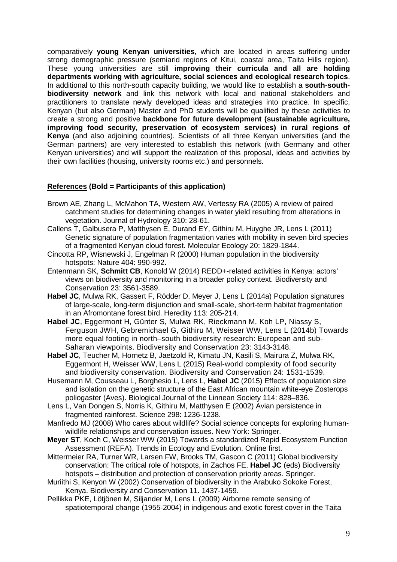comparatively **young Kenyan universities**, which are located in areas suffering under strong demographic pressure (semiarid regions of Kitui, coastal area, Taita Hills region). These young universities are still **improving their curricula and all are holding departments working with agriculture, social sciences and ecological research topics**. In additional to this north-south capacity building, we would like to establish a **south-southbiodiversity network** and link this network with local and national stakeholders and practitioners to translate newly developed ideas and strategies into practice. In specific, Kenyan (but also German) Master and PhD students will be qualified by these activities to create a strong and positive **backbone for future development (sustainable agriculture, improving food security, preservation of ecosystem services) in rural regions of Kenya** (and also adjoining countries). Scientists of all three Kenyan universities (and the German partners) are very interested to establish this network (with Germany and other Kenyan universities) and will support the realization of this proposal, ideas and activities by their own facilities (housing, university rooms etc.) and personnels.

## **References (Bold = Participants of this application)**

- Brown AE, Zhang L, McMahon TA, Western AW, Vertessy RA (2005) A review of paired catchment studies for determining changes in water yield resulting from alterations in vegetation. Journal of Hydrology 310: 28-61.
- Callens T, Galbusera P, Matthysen E, Durand EY, Githiru M, Huyghe JR, Lens L (2011) Genetic signature of population fragmentation varies with mobility in seven bird species of a fragmented Kenyan cloud forest. Molecular Ecology 20: 1829-1844.
- Cincotta RP, Wisnewski J, Engelman R (2000) Human population in the biodiversity hotspots: Nature 404: 990-992.
- Entenmann SK, **Schmitt CB**, Konold W (2014) REDD+-related activities in Kenya: actors' views on biodiversity and monitoring in a broader policy context. Biodiversity and Conservation 23: 3561-3589.
- **Habel JC**, Mulwa RK, Gassert F, Rödder D, Meyer J, Lens L (2014a) Population signatures of large-scale, long-term disjunction and small-scale, short-term habitat fragmentation in an Afromontane forest bird. Heredity 113: 205-214.
- **Habel JC**, Eggermont H, Günter S, Mulwa RK, Rieckmann M, Koh LP, Niassy S, Ferguson JWH, Gebremichael G, Githiru M, Weisser WW, Lens L (2014b) Towards more equal footing in north–south biodiversity research: European and sub-Saharan viewpoints. Biodiversity and Conservation 23: 3143-3148.
- **Habel JC**, Teucher M, Hornetz B, Jaetzold R, Kimatu JN, Kasili S, Mairura Z, Mulwa RK, Eggermont H, Weisser WW, Lens L (2015) Real-world complexity of food security and biodiversity conservation. Biodiversity and Conservation 24: 1531-1539.
- Husemann M, Cousseau L, Borghesio L, Lens L, **Habel JC** (2015) Effects of population size and isolation on the genetic structure of the East African mountain white-eye Zosterops poliogaster (Aves). Biological Journal of the Linnean Society 114: 828–836.
- Lens L, Van Dongen S, Norris K, Githiru M, Matthysen E (2002) Avian persistence in fragmented rainforest. Science 298: 1236-1238.
- Manfredo MJ (2008) Who cares about wildlife? Social science concepts for exploring humanwildlife relationships and conservation issues. New York: Springer.
- **Meyer ST**, Koch C, Weisser WW (2015) Towards a standardized Rapid Ecosystem Function Assessment (REFA). Trends in Ecology and Evolution. Online first.
- Mittermeier RA, Turner WR, Larsen FW, Brooks TM, Gascon C (2011) Global biodiversity conservation: The critical role of hotspots, in Zachos FE, **Habel JC** (eds) Biodiversity hotspots – distribution and protection of conservation priority areas. Springer.
- Muriithi S, Kenyon W (2002) Conservation of biodiversity in the Arabuko Sokoke Forest, Kenya. Biodiversity and Conservation 11. 1437-1459.
- Pellikka PKE, Lötjönen M, Siljander M, Lens L (2009) Airborne remote sensing of spatiotemporal change (1955-2004) in indigenous and exotic forest cover in the Taita